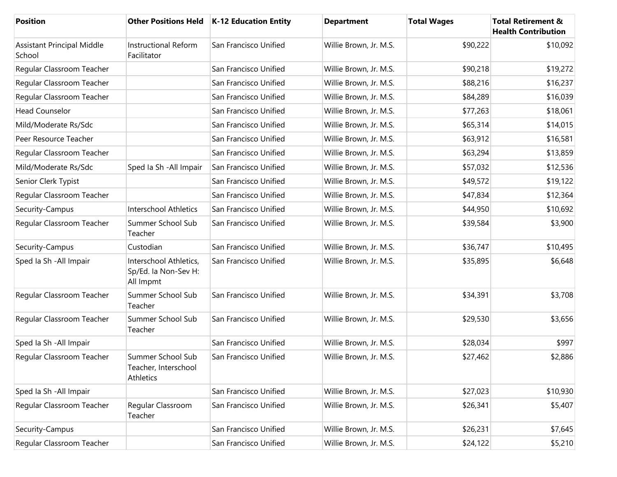| <b>Position</b>                             |                                                             | Other Positions Held   K-12 Education Entity | <b>Department</b>      | <b>Total Wages</b> | <b>Total Retirement &amp;</b><br><b>Health Contribution</b> |
|---------------------------------------------|-------------------------------------------------------------|----------------------------------------------|------------------------|--------------------|-------------------------------------------------------------|
| <b>Assistant Principal Middle</b><br>School | <b>Instructional Reform</b><br>Facilitator                  | San Francisco Unified                        | Willie Brown, Jr. M.S. | \$90,222           | \$10,092                                                    |
| Regular Classroom Teacher                   |                                                             | San Francisco Unified                        | Willie Brown, Jr. M.S. | \$90,218           | \$19,272                                                    |
| Regular Classroom Teacher                   |                                                             | San Francisco Unified                        | Willie Brown, Jr. M.S. | \$88,216           | \$16,237                                                    |
| Regular Classroom Teacher                   |                                                             | San Francisco Unified                        | Willie Brown, Jr. M.S. | \$84,289           | \$16,039                                                    |
| <b>Head Counselor</b>                       |                                                             | San Francisco Unified                        | Willie Brown, Jr. M.S. | \$77,263           | \$18,061                                                    |
| Mild/Moderate Rs/Sdc                        |                                                             | San Francisco Unified                        | Willie Brown, Jr. M.S. | \$65,314           | \$14,015                                                    |
| Peer Resource Teacher                       |                                                             | San Francisco Unified                        | Willie Brown, Jr. M.S. | \$63,912           | \$16,581                                                    |
| Regular Classroom Teacher                   |                                                             | San Francisco Unified                        | Willie Brown, Jr. M.S. | \$63,294           | \$13,859                                                    |
| Mild/Moderate Rs/Sdc                        | Sped Ia Sh - All Impair                                     | San Francisco Unified                        | Willie Brown, Jr. M.S. | \$57,032           | \$12,536                                                    |
| Senior Clerk Typist                         |                                                             | San Francisco Unified                        | Willie Brown, Jr. M.S. | \$49,572           | \$19,122                                                    |
| Regular Classroom Teacher                   |                                                             | San Francisco Unified                        | Willie Brown, Jr. M.S. | \$47,834           | \$12,364                                                    |
| Security-Campus                             | Interschool Athletics                                       | San Francisco Unified                        | Willie Brown, Jr. M.S. | \$44,950           | \$10,692                                                    |
| Regular Classroom Teacher                   | Summer School Sub<br>Teacher                                | San Francisco Unified                        | Willie Brown, Jr. M.S. | \$39,584           | \$3,900                                                     |
| Security-Campus                             | Custodian                                                   | San Francisco Unified                        | Willie Brown, Jr. M.S. | \$36,747           | \$10,495                                                    |
| Sped Ia Sh - All Impair                     | Interschool Athletics,<br>Sp/Ed. Ia Non-Sev H:<br>All Impmt | San Francisco Unified                        | Willie Brown, Jr. M.S. | \$35,895           | \$6,648                                                     |
| Regular Classroom Teacher                   | Summer School Sub<br>Teacher                                | San Francisco Unified                        | Willie Brown, Jr. M.S. | \$34,391           | \$3,708                                                     |
| Regular Classroom Teacher                   | Summer School Sub<br>Teacher                                | San Francisco Unified                        | Willie Brown, Jr. M.S. | \$29,530           | \$3,656                                                     |
| Sped la Sh - All Impair                     |                                                             | San Francisco Unified                        | Willie Brown, Jr. M.S. | \$28,034           | \$997                                                       |
| Regular Classroom Teacher                   | Summer School Sub<br>Teacher, Interschool<br>Athletics      | San Francisco Unified                        | Willie Brown, Jr. M.S. | \$27,462           | \$2,886                                                     |
| Sped Ia Sh - All Impair                     |                                                             | San Francisco Unified                        | Willie Brown, Jr. M.S. | \$27,023           | \$10,930                                                    |
| Regular Classroom Teacher                   | Regular Classroom<br>Teacher                                | San Francisco Unified                        | Willie Brown, Jr. M.S. | \$26,341           | \$5,407                                                     |
| Security-Campus                             |                                                             | San Francisco Unified                        | Willie Brown, Jr. M.S. | \$26,231           | \$7,645                                                     |
| Regular Classroom Teacher                   |                                                             | San Francisco Unified                        | Willie Brown, Jr. M.S. | \$24,122           | \$5,210                                                     |